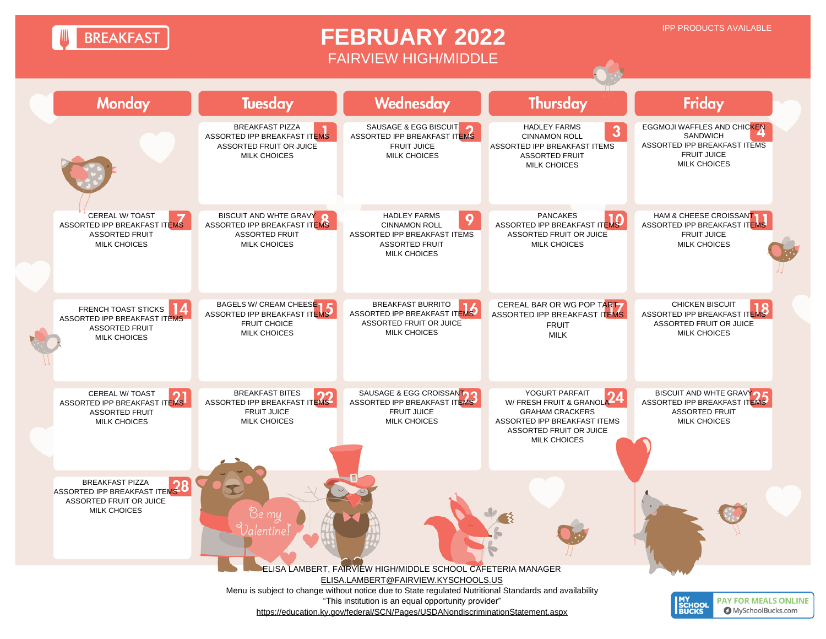**BREAKFAST** 

## **FEBRUARY 2022** FAIRVIEW HIGH/MIDDLE